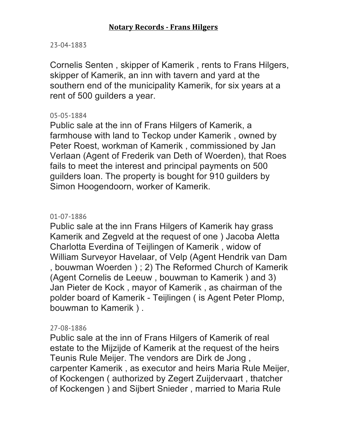#### 23-04-1883

Cornelis Senten , skipper of Kamerik , rents to Frans Hilgers, skipper of Kamerik, an inn with tavern and yard at the southern end of the municipality Kamerik, for six years at a rent of 500 guilders a year.

#### 05-05-1884

Public sale at the inn of Frans Hilgers of Kamerik, a farmhouse with land to Teckop under Kamerik , owned by Peter Roest, workman of Kamerik , commissioned by Jan Verlaan (Agent of Frederik van Deth of Woerden), that Roes fails to meet the interest and principal payments on 500 guilders loan. The property is bought for 910 guilders by Simon Hoogendoorn, worker of Kamerik.

### 01-07-1886

Public sale at the inn Frans Hilgers of Kamerik hay grass Kamerik and Zegveld at the request of one ) Jacoba Aletta Charlotta Everdina of Teijlingen of Kamerik , widow of William Surveyor Havelaar, of Velp (Agent Hendrik van Dam , bouwman Woerden ) ; 2) The Reformed Church of Kamerik (Agent Cornelis de Leeuw , bouwman to Kamerik ) and 3) Jan Pieter de Kock , mayor of Kamerik , as chairman of the polder board of Kamerik - Teijlingen ( is Agent Peter Plomp, bouwman to Kamerik ) .

## 27-08-1886

Public sale at the inn of Frans Hilgers of Kamerik of real estate to the Mijzijde of Kamerik at the request of the heirs Teunis Rule Meijer. The vendors are Dirk de Jong , carpenter Kamerik , as executor and heirs Maria Rule Meijer, of Kockengen ( authorized by Zegert Zuijdervaart , thatcher of Kockengen ) and Sijbert Snieder , married to Maria Rule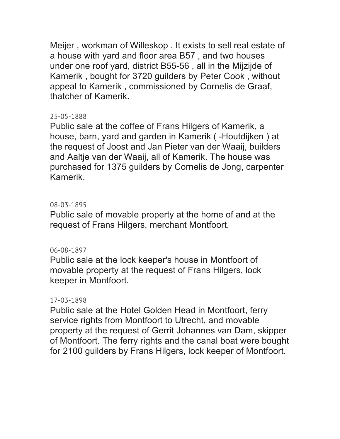Meijer , workman of Willeskop . It exists to sell real estate of a house with yard and floor area B57 , and two houses under one roof yard, district B55-56 , all in the Mijzijde of Kamerik , bought for 3720 guilders by Peter Cook , without appeal to Kamerik , commissioned by Cornelis de Graaf, thatcher of Kamerik.

## 25-05-1888

Public sale at the coffee of Frans Hilgers of Kamerik, a house, barn, yard and garden in Kamerik ( -Houtdijken ) at the request of Joost and Jan Pieter van der Waaij, builders and Aaltje van der Waaij, all of Kamerik. The house was purchased for 1375 guilders by Cornelis de Jong, carpenter Kamerik.

# 08-03-1895

Public sale of movable property at the home of and at the request of Frans Hilgers, merchant Montfoort.

## 06-08-1897

Public sale at the lock keeper's house in Montfoort of movable property at the request of Frans Hilgers, lock keeper in Montfoort.

## 17-03-1898

Public sale at the Hotel Golden Head in Montfoort, ferry service rights from Montfoort to Utrecht, and movable property at the request of Gerrit Johannes van Dam, skipper of Montfoort. The ferry rights and the canal boat were bought for 2100 guilders by Frans Hilgers, lock keeper of Montfoort.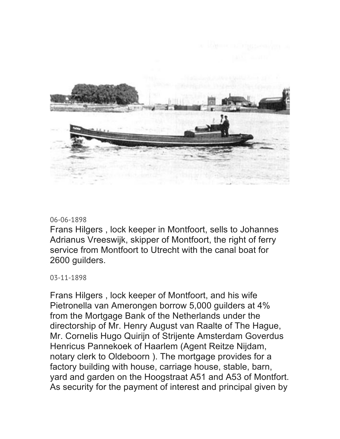

#### 06-06-1898

Frans Hilgers , lock keeper in Montfoort, sells to Johannes Adrianus Vreeswijk, skipper of Montfoort, the right of ferry service from Montfoort to Utrecht with the canal boat for 2600 guilders.

03-11-1898

Frans Hilgers , lock keeper of Montfoort, and his wife Pietronella van Amerongen borrow 5,000 guilders at 4% from the Mortgage Bank of the Netherlands under the directorship of Mr. Henry August van Raalte of The Hague, Mr. Cornelis Hugo Quirijn of Strijente Amsterdam Goverdus Henricus Pannekoek of Haarlem (Agent Reitze Nijdam, notary clerk to Oldeboorn ). The mortgage provides for a factory building with house, carriage house, stable, barn, yard and garden on the Hoogstraat A51 and A53 of Montfort. As security for the payment of interest and principal given by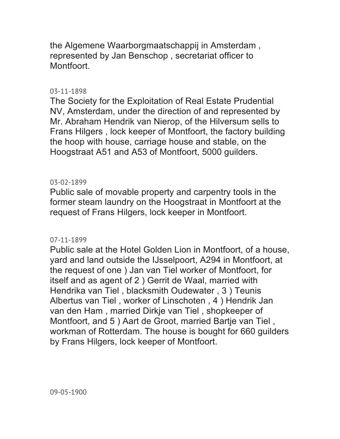the Algemene Waarborgmaatschappij in Amsterdam , represented by Jan Benschop , secretariat officer to Montfoort.

# 03-11-1898

The Society for the Exploitation of Real Estate Prudential NV, Amsterdam, under the direction of and represented by Mr. Abraham Hendrik van Nierop, of the Hilversum sells to Frans Hilgers , lock keeper of Montfoort, the factory building the hoop with house, carriage house and stable, on the Hoogstraat A51 and A53 of Montfoort, 5000 guilders.

# 03-02-1899

Public sale of movable property and carpentry tools in the former steam laundry on the Hoogstraat in Montfoort at the request of Frans Hilgers, lock keeper in Montfoort.

## 07-11-1899

Public sale at the Hotel Golden Lion in Montfoort, of a house, yard and land outside the IJsselpoort, A294 in Montfoort, at the request of one ) Jan van Tiel worker of Montfoort, for itself and as agent of 2 ) Gerrit de Waal, married with Hendrika van Tiel , blacksmith Oudewater , 3 ) Teunis Albertus van Tiel , worker of Linschoten , 4 ) Hendrik Jan van den Ham , married Dirkje van Tiel , shopkeeper of Montfoort, and 5 ) Aart de Groot, married Bartje van Tiel , workman of Rotterdam. The house is bought for 660 guilders by Frans Hilgers, lock keeper of Montfoort.